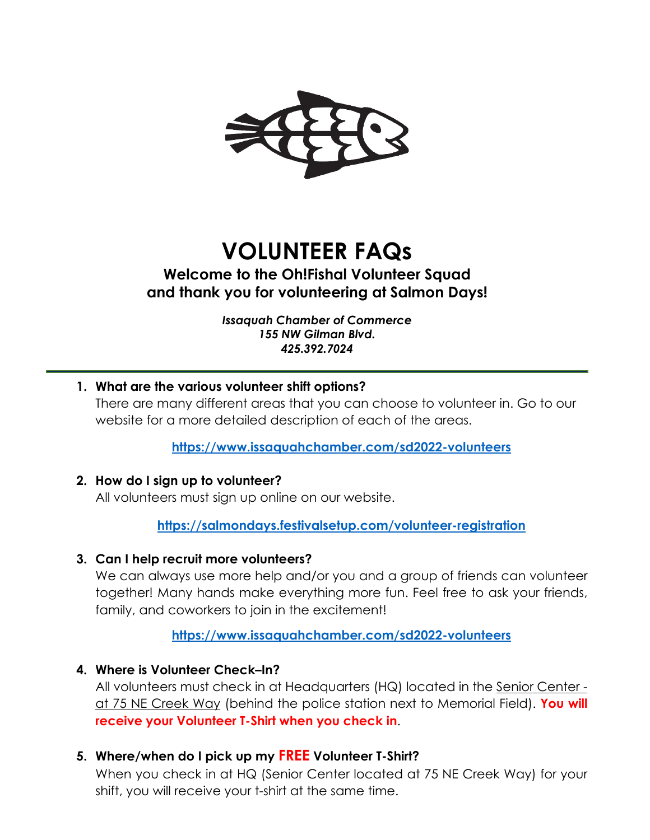

# **VOLUNTEER FAQs**

# **Welcome to the Oh!Fishal Volunteer Squad and thank you for volunteering at Salmon Days!**

*Issaquah Chamber of Commerce 155 NW Gilman Blvd. 425.392.7024*

**1. What are the various volunteer shift options?**  There are many different areas that you can choose to volunteer in. Go to our website for a more detailed description of each of the areas.

**<https://www.issaquahchamber.com/sd2022-volunteers>**

# **2. How do I sign up to volunteer?**

All volunteers must sign up online on our website.

**<https://salmondays.festivalsetup.com/volunteer-registration>**

#### **3. Can I help recruit more volunteers?**

We can always use more help and/or you and a group of friends can volunteer together! Many hands make everything more fun. Feel free to ask your friends, family, and coworkers to join in the excitement!

**<https://www.issaquahchamber.com/sd2022-volunteers>**

# **4. Where is Volunteer Check–In?**

All volunteers must check in at Headquarters (HQ) located in the Senior Center at 75 NE Creek Way (behind the police station next to Memorial Field). **You will receive your Volunteer T-Shirt when you check in**.

# **5. Where/when do I pick up my FREE Volunteer T-Shirt?**

When you check in at HQ (Senior Center located at 75 NE Creek Way) for your shift, you will receive your t-shirt at the same time.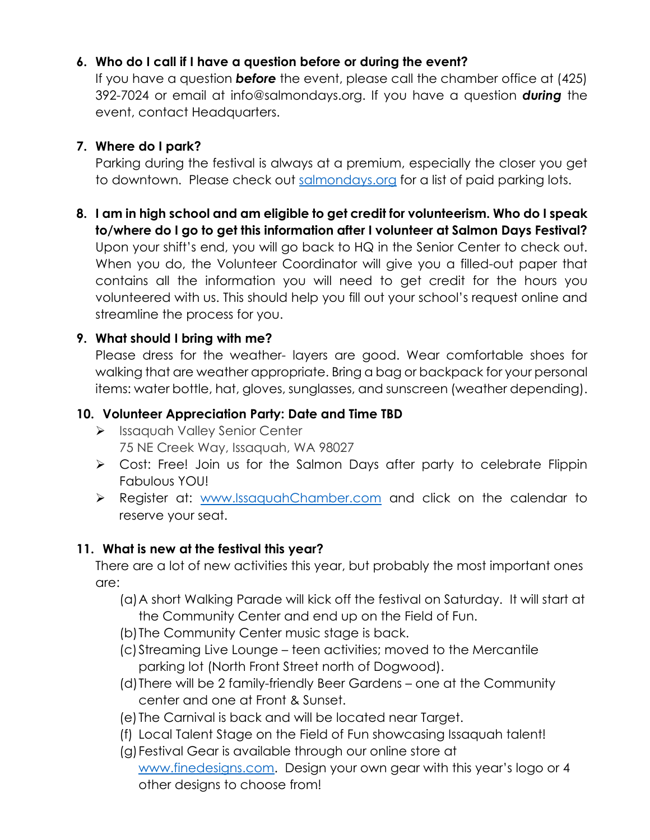# **6. Who do I call if I have a question before or during the event?**

If you have a question *before* the event, please call the chamber office at (425) 392-7024 or email at info@salmondays.org. If you have a question *during* the event, contact Headquarters.

# **7. Where do I park?**

Parking during the festival is always at a premium, especially the closer you get to downtown. Please check out [salmondays.org](http://salmondays.org/) for a list of paid parking lots.

**8. I am in high school and am eligible to get credit for volunteerism. Who do I speak to/where do I go to get this information after I volunteer at Salmon Days Festival?** Upon your shift's end, you will go back to HQ in the Senior Center to check out. When you do, the Volunteer Coordinator will give you a filled-out paper that contains all the information you will need to get credit for the hours you volunteered with us. This should help you fill out your school's request online and streamline the process for you.

# **9. What should I bring with me?**

Please dress for the weather- layers are good. Wear comfortable shoes for walking that are weather appropriate. Bring a bag or backpack for your personal items: water bottle, hat, gloves, sunglasses, and sunscreen (weather depending).

# **10. Volunteer Appreciation Party: Date and Time TBD**

- > Issaquah Valley Senior Center 75 NE Creek Way, Issaquah, WA 98027
- Cost: Free! Join us for the Salmon Days after party to celebrate Flippin Fabulous YOU!
- P Register at: [www.IssaquahChamber.com](http://www.issaquahchamber.com/) and click on the calendar to reserve your seat.

# **11. What is new at the festival this year?**

There are a lot of new activities this year, but probably the most important ones are:

- (a)A short Walking Parade will kick off the festival on Saturday. It will start at the Community Center and end up on the Field of Fun.
- (b)The Community Center music stage is back.
- (c)Streaming Live Lounge teen activities; moved to the Mercantile parking lot (North Front Street north of Dogwood).
- (d)There will be 2 family-friendly Beer Gardens one at the Community center and one at Front & Sunset.
- (e) The Carnival is back and will be located near Target.
- (f) Local Talent Stage on the Field of Fun showcasing Issaquah talent!
- (g)Festival Gear is available through our online store at
- [www.finedesigns.com.](http://www.finedesigns.com/) Design your own gear with this year's logo or 4 other designs to choose from!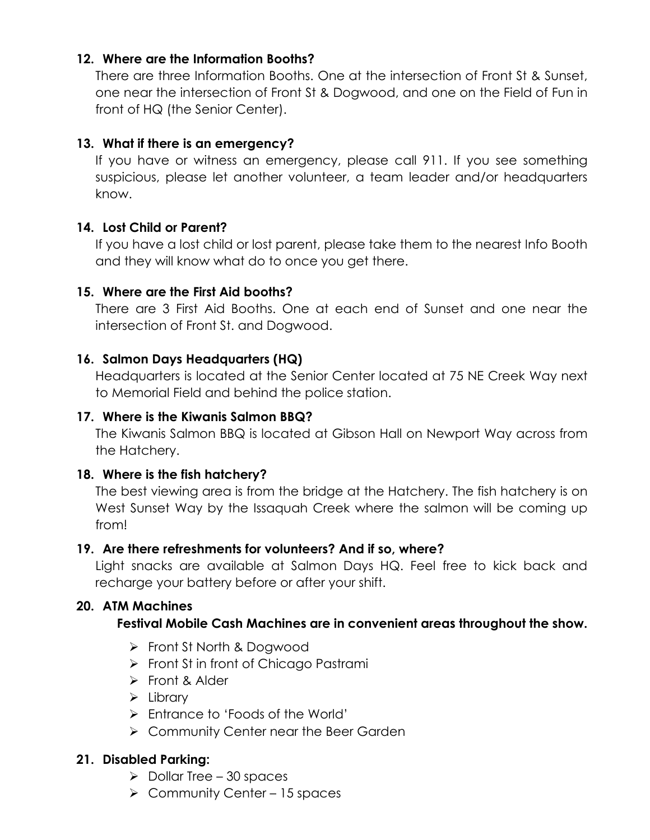# **12. Where are the Information Booths?**

There are three Information Booths. One at the intersection of Front St & Sunset, one near the intersection of Front St & Dogwood, and one on the Field of Fun in front of HQ (the Senior Center).

# **13. What if there is an emergency?**

If you have or witness an emergency, please call 911. If you see something suspicious, please let another volunteer, a team leader and/or headquarters know.

#### **14. Lost Child or Parent?**

If you have a lost child or lost parent, please take them to the nearest Info Booth and they will know what do to once you get there.

#### **15. Where are the First Aid booths?**

There are 3 First Aid Booths. One at each end of Sunset and one near the intersection of Front St. and Dogwood.

#### **16. Salmon Days Headquarters (HQ)**

Headquarters is located at the Senior Center located at 75 NE Creek Way next to Memorial Field and behind the police station.

#### **17. Where is the Kiwanis Salmon BBQ?**

The Kiwanis Salmon BBQ is located at Gibson Hall on Newport Way across from the Hatchery.

#### **18. Where is the fish hatchery?**

The best viewing area is from the bridge at the Hatchery. The fish hatchery is on West Sunset Way by the Issaquah Creek where the salmon will be coming up from!

#### **19. Are there refreshments for volunteers? And if so, where?**

Light snacks are available at Salmon Days HQ. Feel free to kick back and recharge your battery before or after your shift.

# **20. ATM Machines**

# **Festival Mobile Cash Machines are in convenient areas throughout the show.**

- > Front St North & Dogwood
- $\triangleright$  Front St in front of Chicago Pastrami
- Front & Alder
- $\triangleright$  Library
- Entrance to 'Foods of the World'
- **▶ Community Center near the Beer Garden**

# **21. Disabled Parking:**

- $\triangleright$  Dollar Tree 30 spaces
- $\triangleright$  Community Center 15 spaces